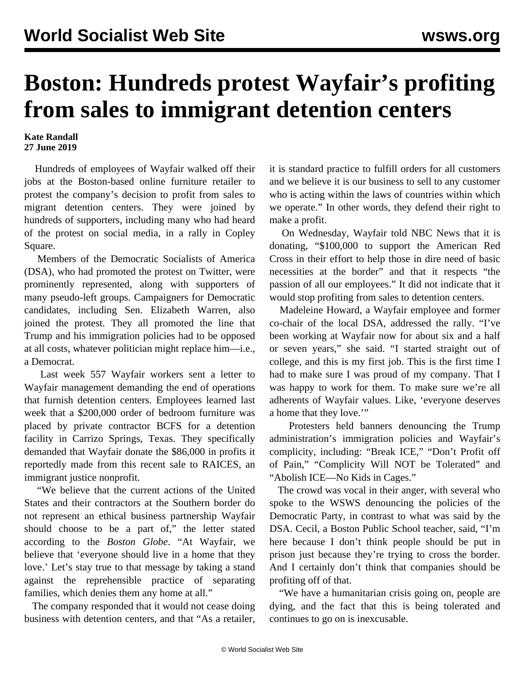## **Boston: Hundreds protest Wayfair's profiting from sales to immigrant detention centers**

## **Kate Randall 27 June 2019**

 Hundreds of employees of Wayfair walked off their jobs at the Boston-based online furniture retailer to protest the company's decision to profit from sales to migrant detention centers. They were joined by hundreds of supporters, including many who had heard of the protest on social media, in a rally in Copley Square.

 Members of the Democratic Socialists of America (DSA), who had promoted the protest on Twitter, were prominently represented, along with supporters of many pseudo-left groups. Campaigners for Democratic candidates, including Sen. Elizabeth Warren, also joined the protest. They all promoted the line that Trump and his immigration policies had to be opposed at all costs, whatever politician might replace him—i.e., a Democrat.

 Last week 557 Wayfair workers sent a letter to Wayfair management demanding the end of operations that furnish detention centers. Employees learned last week that a \$200,000 order of bedroom furniture was placed by private contractor BCFS for a detention facility in Carrizo Springs, Texas. They specifically demanded that Wayfair donate the \$86,000 in profits it reportedly made from this recent sale to RAICES, an immigrant justice nonprofit.

 "We believe that the current actions of the United States and their contractors at the Southern border do not represent an ethical business partnership Wayfair should choose to be a part of," the letter stated according to the *Boston Globe*. "At Wayfair, we believe that 'everyone should live in a home that they love.' Let's stay true to that message by taking a stand against the reprehensible practice of separating families, which denies them any home at all."

 The company responded that it would not cease doing business with detention centers, and that "As a retailer, it is standard practice to fulfill orders for all customers and we believe it is our business to sell to any customer who is acting within the laws of countries within which we operate." In other words, they defend their right to make a profit.

 On Wednesday, Wayfair told NBC News that it is donating, "\$100,000 to support the American Red Cross in their effort to help those in dire need of basic necessities at the border" and that it respects "the passion of all our employees." It did not indicate that it would stop profiting from sales to detention centers.

 Madeleine Howard, a Wayfair employee and former co-chair of the local DSA, addressed the rally. "I've been working at Wayfair now for about six and a half or seven years," she said. "I started straight out of college, and this is my first job. This is the first time I had to make sure I was proud of my company. That I was happy to work for them. To make sure we're all adherents of Wayfair values. Like, 'everyone deserves a home that they love.'"

 Protesters held banners denouncing the Trump administration's immigration policies and Wayfair's complicity, including: "Break ICE," "Don't Profit off of Pain," "Complicity Will NOT be Tolerated" and "Abolish ICE—No Kids in Cages."

 The crowd was vocal in their anger, with several who spoke to the WSWS denouncing the policies of the Democratic Party, in contrast to what was said by the DSA. Cecil, a Boston Public School teacher, said, "I'm here because I don't think people should be put in prison just because they're trying to cross the border. And I certainly don't think that companies should be profiting off of that.

 "We have a humanitarian crisis going on, people are dying, and the fact that this is being tolerated and continues to go on is inexcusable.